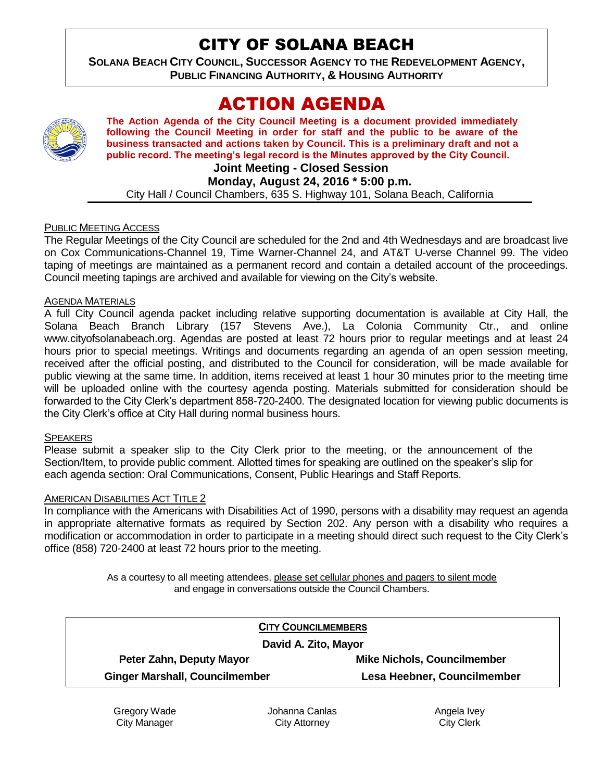# CITY OF SOLANA BEACH

**SOLANA BEACH CITY COUNCIL, SUCCESSOR AGENCY TO THE REDEVELOPMENT AGENCY, PUBLIC FINANCING AUTHORITY, & HOUSING AUTHORITY** 

# ACTION AGENDA

**The Action Agenda of the City Council Meeting is a document provided immediately following the Council Meeting in order for staff and the public to be aware of the business transacted and actions taken by Council. This is a preliminary draft and not a public record. The meeting's legal record is the Minutes approved by the City Council.**

#### **Joint Meeting - Closed Session**

**Monday, August 24, 2016 \* 5:00 p.m.**

City Hall / Council Chambers, 635 S. Highway 101, Solana Beach, California

#### PUBLIC MEETING ACCESS

The Regular Meetings of the City Council are scheduled for the 2nd and 4th Wednesdays and are broadcast live on Cox Communications-Channel 19, Time Warner-Channel 24, and AT&T U-verse Channel 99. The video taping of meetings are maintained as a permanent record and contain a detailed account of the proceedings. Council meeting tapings are archived and available for viewing on the City's website.

#### AGENDA MATERIALS

A full City Council agenda packet including relative supporting documentation is available at City Hall, the Solana Beach Branch Library (157 Stevens Ave.), La Colonia Community Ctr., and online www.cityofsolanabeach.org. Agendas are posted at least 72 hours prior to regular meetings and at least 24 hours prior to special meetings. Writings and documents regarding an agenda of an open session meeting, received after the official posting, and distributed to the Council for consideration, will be made available for public viewing at the same time. In addition, items received at least 1 hour 30 minutes prior to the meeting time will be uploaded online with the courtesy agenda posting. Materials submitted for consideration should be forwarded to the City Clerk's department 858-720-2400. The designated location for viewing public documents is the City Clerk's office at City Hall during normal business hours.

#### **SPEAKERS**

Please submit a speaker slip to the City Clerk prior to the meeting, or the announcement of the Section/Item, to provide public comment. Allotted times for speaking are outlined on the speaker's slip for each agenda section: Oral Communications, Consent, Public Hearings and Staff Reports.

#### AMERICAN DISABILITIES ACT TITLE 2

In compliance with the Americans with Disabilities Act of 1990, persons with a disability may request an agenda in appropriate alternative formats as required by Section 202. Any person with a disability who requires a modification or accommodation in order to participate in a meeting should direct such request to the City Clerk's office (858) 720-2400 at least 72 hours prior to the meeting.

> As a courtesy to all meeting attendees, please set cellular phones and pagers to silent mode and engage in conversations outside the Council Chambers.

| <b>CITY COUNCILMEMBERS</b>            |                                    |
|---------------------------------------|------------------------------------|
| David A. Zito, Mayor                  |                                    |
| Peter Zahn, Deputy Mayor              | <b>Mike Nichols, Councilmember</b> |
| <b>Ginger Marshall, Councilmember</b> | Lesa Heebner, Councilmember        |

Gregory Wade City Manager

Johanna Canlas City Attorney

Angela Ivey City Clerk